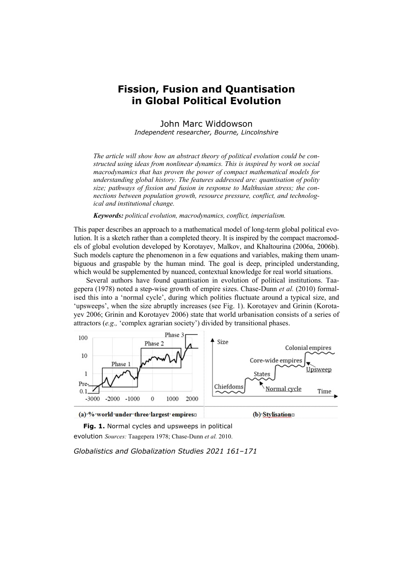## **Fission, Fusion and Quantisation in Global Political Evolution**

John Marc Widdowson *Independent researcher, Bourne, Lincolnshire* 

*The article will show how an abstract theory of political evolution could be constructed using ideas from nonlinear dynamics. This is inspired by work on social macrodynamics that has proven the power of compact mathematical models for understanding global history. The features addressed are: quantisation of polity size; pathways of fission and fusion in response to Malthusian stress; the connections between population growth, resource pressure, conflict, and technological and institutional change.* 

*Keywords: political evolution, macrodynamics, conflict, imperialism.* 

This paper describes an approach to a mathematical model of long-term global political evolution. It is a sketch rather than a completed theory. It is inspired by the compact macromodels of global evolution developed by Korotayev, Malkov, and Khaltourina (2006a, 2006b). Such models capture the phenomenon in a few equations and variables, making them unambiguous and graspable by the human mind. The goal is deep, principled understanding, which would be supplemented by nuanced, contextual knowledge for real world situations.

Several authors have found quantisation in evolution of political institutions. Taagepera (1978) noted a step-wise growth of empire sizes. Chase-Dunn *et al.* (2010) formalised this into a 'normal cycle', during which polities fluctuate around a typical size, and 'upsweeps', when the size abruptly increases (see Fig. 1). Korotayev and Grinin (Korotayev 2006; Grinin and Korotayev 2006) state that world urbanisation consists of a series of attractors (*e.g.,* 'complex agrarian society') divided by transitional phases.





(b) Stylisationo

Fig. 1. Normal cycles and upsweeps in political evolution *Sources:* Taagepera 1978; Chase-Dunn *et al.* 2010.

*Globalistics and Globalization Studies 2021 161–171*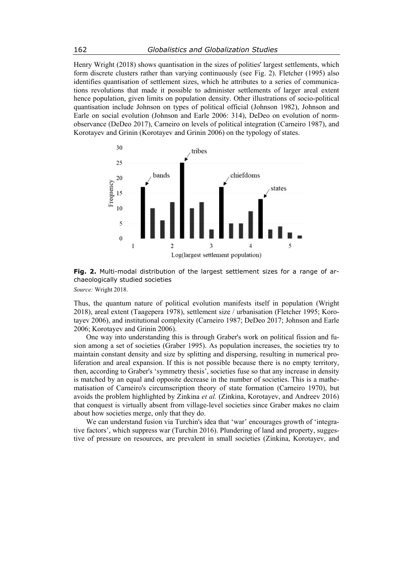Henry Wright (2018) shows quantisation in the sizes of polities' largest settlements, which form discrete clusters rather than varying continuously (see Fig. 2). Fletcher (1995) also identifies quantisation of settlement sizes, which he attributes to a series of communications revolutions that made it possible to administer settlements of larger areal extent hence population, given limits on population density. Other illustrations of socio-political quantisation include Johnson on types of political official (Johnson 1982), Johnson and Earle on social evolution (Johnson and Earle 2006: 314), DeDeo on evolution of normobservance (DeDeo 2017), Carneiro on levels of political integration (Carneiro 1987), and Korotayev and Grinin (Korotayev and Grinin 2006) on the typology of states.



**Fig. 2.** Multi-modal distribution of the largest settlement sizes for a range of archaeologically studied societies

*Source:* Wright 2018.

Thus, the quantum nature of political evolution manifests itself in population (Wright 2018), areal extent (Taagepera 1978), settlement size / urbanisation (Fletcher 1995; Korotayev 2006), and institutional complexity (Carneiro 1987; DeDeo 2017; Johnson and Earle 2006; Korotayev and Grinin 2006).

One way into understanding this is through Graber's work on political fission and fusion among a set of societies (Graber 1995). As population increases, the societies try to maintain constant density and size by splitting and dispersing, resulting in numerical proliferation and areal expansion. If this is not possible because there is no empty territory, then, according to Graber's 'symmetry thesis', societies fuse so that any increase in density is matched by an equal and opposite decrease in the number of societies. This is a mathematisation of Carneiro's circumscription theory of state formation (Carneiro 1970), but avoids the problem highlighted by Zinkina *et al.* (Zinkina, Korotayev, and Andreev 2016) that conquest is virtually absent from village-level societies since Graber makes no claim about how societies merge, only that they do.

We can understand fusion via Turchin's idea that 'war' encourages growth of 'integrative factors', which suppress war (Turchin 2016). Plundering of land and property, suggestive of pressure on resources, are prevalent in small societies (Zinkina, Korotayev, and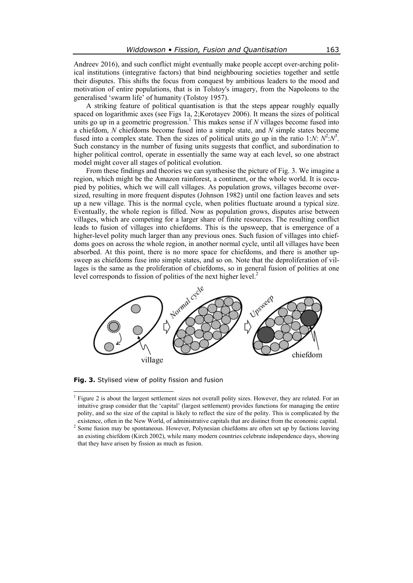Andreev 2016), and such conflict might eventually make people accept over-arching political institutions (integrative factors) that bind neighbouring societies together and settle their disputes. This shifts the focus from conquest by ambitious leaders to the mood and motivation of entire populations, that is in Tolstoy's imagery, from the Napoleons to the generalised 'swarm life' of humanity (Tolstoy 1957).

A striking feature of political quantisation is that the steps appear roughly equally spaced on logarithmic axes (see Figs 1a, 2;Korotayev 2006). It means the sizes of political units go up in a geometric progression.<sup>1</sup> This makes sense if  $N$  villages become fused into a chiefdom, *N* chiefdoms become fused into a simple state, and *N* simple states become fused into a complex state. Then the sizes of political units go up in the ratio 1:*N*:  $N^2$ : $N^3$ . Such constancy in the number of fusing units suggests that conflict, and subordination to higher political control, operate in essentially the same way at each level, so one abstract model might cover all stages of political evolution.

From these findings and theories we can synthesise the picture of Fig. 3. We imagine a region, which might be the Amazon rainforest, a continent, or the whole world. It is occupied by polities, which we will call villages. As population grows, villages become oversized, resulting in more frequent disputes (Johnson 1982) until one faction leaves and sets up a new village. This is the normal cycle, when polities fluctuate around a typical size. Eventually, the whole region is filled. Now as population grows, disputes arise between villages, which are competing for a larger share of finite resources. The resulting conflict leads to fusion of villages into chiefdoms. This is the upsweep, that is emergence of a higher-level polity much larger than any previous ones. Such fusion of villages into chiefdoms goes on across the whole region, in another normal cycle, until all villages have been absorbed. At this point, there is no more space for chiefdoms, and there is another upsweep as chiefdoms fuse into simple states, and so on. Note that the deproliferation of villages is the same as the proliferation of chiefdoms, so in general fusion of polities at one



**Fig. 3.** Stylised view of polity fission and fusion

<sup>&</sup>lt;sup>1</sup> Figure 2 is about the largest settlement sizes not overall polity sizes. However, they are related. For an intuitive grasp consider that the 'capital' (largest settlement) provides functions for managing the entire polity, and so the size of the capital is likely to reflect the size of the polity. This is complicated by the existence, often in the New World, of administrative capitals that are distinct from the economic capital. 2

<sup>&</sup>lt;sup>2</sup> Some fusion may be spontaneous. However, Polynesian chiefdoms are often set up by factions leaving an existing chiefdom (Kirch 2002), while many modern countries celebrate independence days, showing that they have arisen by fission as much as fusion.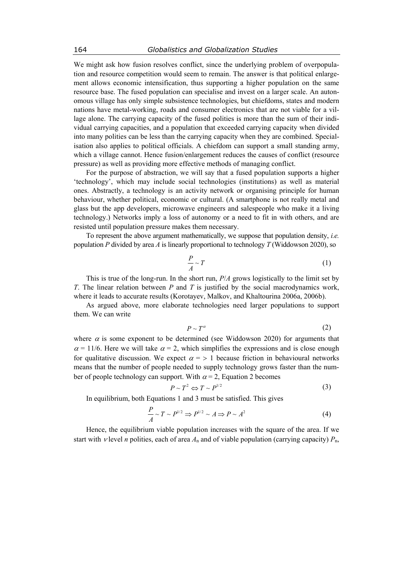We might ask how fusion resolves conflict, since the underlying problem of overpopulation and resource competition would seem to remain. The answer is that political enlargement allows economic intensification, thus supporting a higher population on the same resource base. The fused population can specialise and invest on a larger scale. An autonomous village has only simple subsistence technologies, but chiefdoms, states and modern nations have metal-working, roads and consumer electronics that are not viable for a village alone. The carrying capacity of the fused polities is more than the sum of their individual carrying capacities, and a population that exceeded carrying capacity when divided into many polities can be less than the carrying capacity when they are combined. Specialisation also applies to political officials. A chiefdom can support a small standing army, which a village cannot. Hence fusion/enlargement reduces the causes of conflict (resource pressure) as well as providing more effective methods of managing conflict.

For the purpose of abstraction, we will say that a fused population supports a higher 'technology', which may include social technologies (institutions) as well as material ones. Abstractly, a technology is an activity network or organising principle for human behaviour, whether political, economic or cultural. (A smartphone is not really metal and glass but the app developers, microwave engineers and salespeople who make it a living technology.) Networks imply a loss of autonomy or a need to fit in with others, and are resisted until population pressure makes them necessary.

To represent the above argument mathematically, we suppose that population density, *i.e.* population *Р* divided by area *А* is linearly proportional to technology *T* (Widdowson 2020), so

$$
\frac{P}{A} \sim T \tag{1}
$$

This is true of the long-run. In the short run, *Р*/*А* grows logistically to the limit set by *T*. The linear relation between *Р* and *T* is justified by the social macrodynamics work, where it leads to accurate results (Korotayev, Malkov, and Khaltourina 2006a, 2006b).

As argued above, more elaborate technologies need larger populations to support them. We can write

$$
P \sim T^{\alpha} \tag{2}
$$

where  $\alpha$  is some exponent to be determined (see Widdowson 2020) for arguments that  $\alpha$  = 11/6. Here we will take  $\alpha$  = 2, which simplifies the expressions and is close enough for qualitative discussion. We expect  $\alpha = 1$  because friction in behavioural networks means that the number of people needed to supply technology grows faster than the number of people technology can support. With  $\alpha = 2$ , Equation 2 becomes

$$
P \sim T^2 \Leftrightarrow T \sim P^{1/2} \tag{3}
$$

In equilibrium, both Equations 1 and 3 must be satisfied. This gives

$$
\frac{P}{A} \sim T \sim P^{1/2} \Rightarrow P^{1/2} \sim A \Rightarrow P \sim A^2 \tag{4}
$$

Hence, the equilibrium viable population increases with the square of the area. If we start with  $\nu$  level *n* polities, each of area  $A_n$  and of viable population (carrying capacity)  $P_n$ ,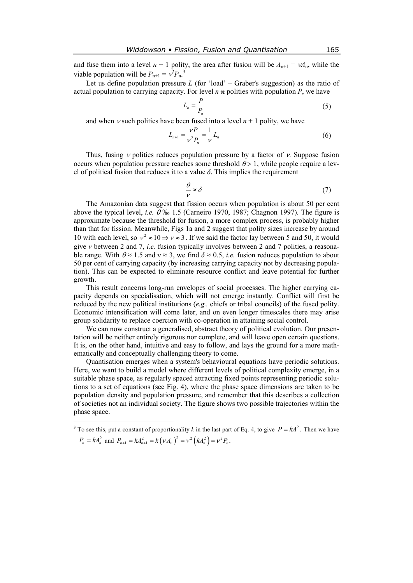and fuse them into a level  $n + 1$  polity, the area after fusion will be  $A_{n+1} = \nu A_n$ , while the viable population will be  $P_{n+1} = v^2 P_n^3$ .

Let us define population pressure  $L$  (for 'load' – Graber's suggestion) as the ratio of actual population to carrying capacity. For level *n* polities with population *Р*, we have

$$
L_n = \frac{P}{P_n} \tag{5}
$$

and when  $\nu$  such polities have been fused into a level  $n + 1$  polity, we have

$$
L_{n+1} = \frac{\nu P}{\nu^2 P_n} = \frac{1}{\nu} L_n \tag{6}
$$

Thus, fusing  $\nu$  polities reduces population pressure by a factor of  $\nu$ . Suppose fusion occurs when population pressure reaches some threshold  $\theta > 1$ , while people require a level of political fusion that reduces it to a value *δ*. This implies the requirement

$$
\frac{\theta}{\nu} \approx \delta \tag{7}
$$

The Amazonian data suggest that fission occurs when population is about 50 per cent above the typical level, *i.e.*  $\theta$  ‰ 1.5 (Carneiro 1970, 1987; Chagnon 1997). The figure is approximate because the threshold for fusion, a more complex process, is probably higher than that for fission. Meanwhile, Figs 1a and 2 suggest that polity sizes increase by around 10 with each level, so  $v^2 \approx 10 \Rightarrow v \approx 3$ . If we said the factor lay between 5 and 50, it would give *ν* between 2 and 7, *i.e.* fusion typically involves between 2 and 7 polities, a reasonable range. With  $\theta \approx 1.5$  and  $v \approx 3$ , we find  $\delta \approx 0.5$ , *i.e.* fusion reduces population to about 50 per cent of carrying capacity (by increasing carrying capacity not by decreasing population). This can be expected to eliminate resource conflict and leave potential for further growth.

This result concerns long-run envelopes of social processes. The higher carrying capacity depends on specialisation, which will not emerge instantly. Conflict will first be reduced by the new political institutions (*e.g.,* chiefs or tribal councils) of the fused polity. Economic intensification will come later, and on even longer timescales there may arise group solidarity to replace coercion with co-operation in attaining social control.

We can now construct a generalised, abstract theory of political evolution. Our presentation will be neither entirely rigorous nor complete, and will leave open certain questions. It is, on the other hand, intuitive and easy to follow, and lays the ground for a more mathematically and conceptually challenging theory to come.

Quantisation emerges when a system's behavioural equations have periodic solutions. Here, we want to build a model where different levels of political complexity emerge, in a suitable phase space, as regularly spaced attracting fixed points representing periodic solutions to a set of equations (see Fig. 4), where the phase space dimensions are taken to be population density and population pressure, and remember that this describes a collection of societies not an individual society. The figure shows two possible trajectories within the phase space.

 $\overline{a}$ 

<sup>&</sup>lt;sup>3</sup> To see this, put a constant of proportionality *k* in the last part of Eq. 4, to give  $P = kA^2$ . Then we have  $P_n = kA_n^2$  and  $P_{n+1} = kA_{n+1}^2 = k(\nu A_n)^2 = \nu^2 (kA_n^2) = \nu^2 P_n$ .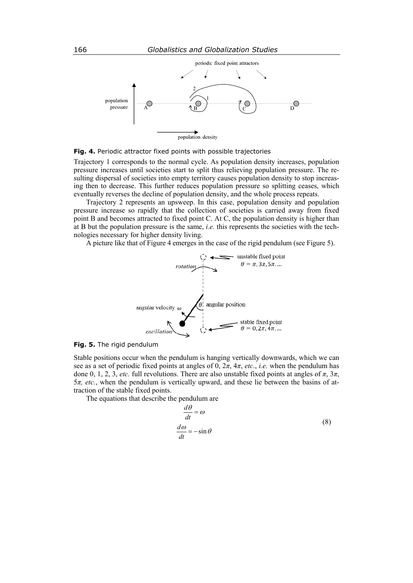

population density

## **Fig. 4.** Periodic attractor fixed points with possible trajectories

Trajectory 1 corresponds to the normal cycle. As population density increases, population pressure increases until societies start to split thus relieving population pressure. The resulting dispersal of societies into empty territory causes population density to stop increasing then to decrease. This further reduces population pressure so splitting ceases, which eventually reverses the decline of population density, and the whole process repeats.

Trajectory 2 represents an upsweep. In this case, population density and population pressure increase so rapidly that the collection of societies is carried away from fixed point B and becomes attracted to fixed point C. At C, the population density is higher than at B but the population pressure is the same, *i.e.* this represents the societies with the technologies necessary for higher density living.

A picture like that of Figure 4 emerges in the case of the rigid pendulum (see Figure 5).



**Fig. 5.** The rigid pendulum

Stable positions occur when the pendulum is hanging vertically downwards, which we can see as a set of periodic fixed points at angles of 0, 2*π*, 4*π*, *etc*., *i.e.* when the pendulum has done 0, 1, 2, 3, *etc.* full revolutions. There are also unstable fixed points at angles of  $\pi$ ,  $3\pi$ , 5*π, etc.*, when the pendulum is vertically upward, and these lie between the basins of attraction of the stable fixed points.

The equations that describe the pendulum are

$$
\frac{d\theta}{dt} = \omega
$$
  
\n
$$
\frac{d\omega}{dt} = -\sin\theta
$$
\n(8)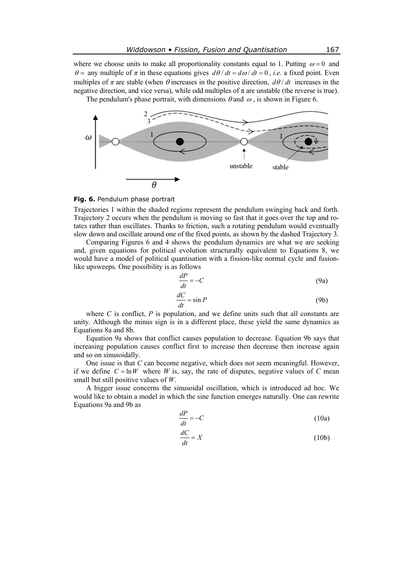where we choose units to make all proportionality constants equal to 1. Putting  $\omega = 0$  and  $\theta =$  any multiple of  $\pi$  in these equations gives  $d\theta/dt = d\omega/dt = 0$ , *i.e.* a fixed point. Even multiples of  $\pi$  are stable (when  $\theta$  increases in the positive direction,  $d\theta/dt$  increases in the negative direction, and vice versa), while odd multiples of  $\pi$  are unstable (the reverse is true).

The pendulum's phase portrait, with dimensions  $\theta$  and  $\omega$ , is shown in Figure 6.



## **Fig. 6.** Pendulum phase portrait

Trajectories 1 within the shaded regions represent the pendulum swinging back and forth. Trajectory 2 occurs when the pendulum is moving so fast that it goes over the top and rotates rather than oscillates. Thanks to friction, such a rotating pendulum would eventually slow down and oscillate around one of the fixed points, as shown by the dashed Trajectory 3.

Comparing Figures 6 and 4 shows the pendulum dynamics are what we are seeking and, given equations for political evolution structurally equivalent to Equations 8, we would have a model of political quantisation with a fission-like normal cycle and fusionlike upsweeps. One possibility is as follows

$$
\frac{dP}{dt} = -C\tag{9a}
$$

$$
\frac{dC}{dt} = \sin P \tag{9b}
$$

where *C* is conflict, *P* is population, and we define units such that all constants are unity. Although the minus sign is in a different place, these yield the same dynamics as Equations 8a and 8b.

Equation 9a shows that conflict causes population to decrease. Equation 9b says that increasing population causes conflict first to increase then decrease then increase again and so on sinusoidally.

One issue is that *С* can become negative, which does not seem meaningful. However, if we define  $C = \ln W$  where *W* is, say, the rate of disputes, negative values of *C* mean small but still positive values of *W*.

A bigger issue concerns the sinusoidal oscillation, which is introduced ad hoc. We would like to obtain a model in which the sine function emerges naturally. One can rewrite Equations 9a and 9b as

$$
\frac{dP}{dt} = -C\tag{10a}
$$

$$
\frac{dC}{dt} = X\tag{10b}
$$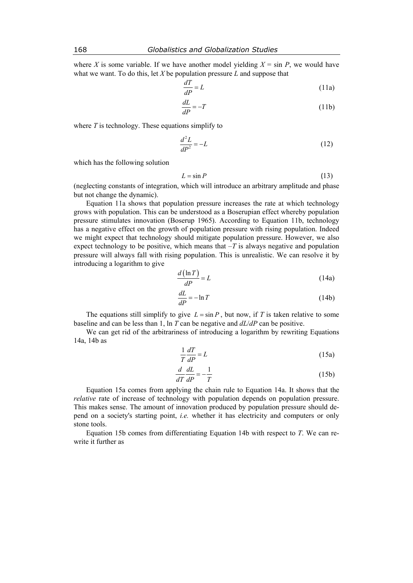where *X* is some variable. If we have another model yielding  $X = \sin P$ , we would have what we want. To do this, let *X* be population pressure *L* and suppose that

$$
\frac{dT}{dP} = L \tag{11a}
$$

$$
\frac{dL}{dP} = -T\tag{11b}
$$

where  $T$  is technology. These equations simplify to

$$
\frac{d^2L}{dP^2} = -L\tag{12}
$$

which has the following solution

$$
L = \sin P \tag{13}
$$

(neglecting constants of integration, which will introduce an arbitrary amplitude and phase but not change the dynamic).

Equation 11a shows that population pressure increases the rate at which technology grows with population. This can be understood as a Boserupian effect whereby population pressure stimulates innovation (Boserup 1965). According to Equation 11b, technology has a negative effect on the growth of population pressure with rising population. Indeed we might expect that technology should mitigate population pressure. However, we also expect technology to be positive, which means that  $-T$  is always negative and population pressure will always fall with rising population. This is unrealistic. We can resolve it by introducing a logarithm to give

$$
\frac{d\left(\ln T\right)}{dP} = L\tag{14a}
$$

$$
\frac{dL}{dP} = -\ln T \tag{14b}
$$

The equations still simplify to give  $L = \sin P$ , but now, if *T* is taken relative to some baseline and can be less than 1, ln *T* can be negative and *dL*/*dP* can be positive.

We can get rid of the arbitrariness of introducing a logarithm by rewriting Equations 14a, 14b as

$$
\frac{1}{T}\frac{dT}{dP} = L\tag{15a}
$$

$$
\frac{d}{dT}\frac{dL}{dP} = -\frac{1}{T}
$$
\n(15b)

Equation 15a comes from applying the chain rule to Equation 14a. It shows that the *relative* rate of increase of technology with population depends on population pressure. This makes sense. The amount of innovation produced by population pressure should depend on a society's starting point, *i.e.* whether it has electricity and computers or only stone tools.

Equation 15b comes from differentiating Equation 14b with respect to *T*. We can rewrite it further as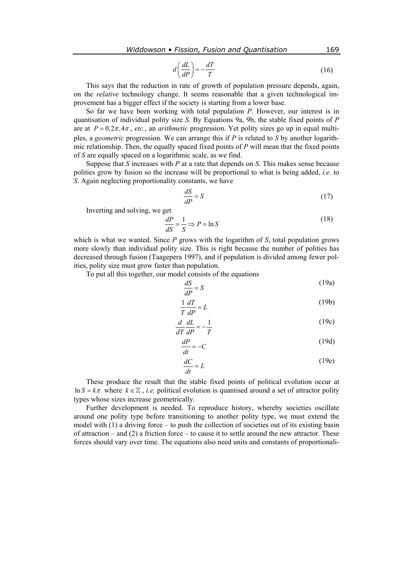$$
d\left(\frac{dL}{dP}\right) = -\frac{dT}{T} \tag{16}
$$

This says that the reduction in rate of growth of population pressure depends, again, on the *relative* technology change. It seems reasonable that a given technological improvement has a bigger effect if the society is starting from a lower base.

So far we have been working with total population *Р*. However, our interest is in quantisation of individual polity size *S*. By Equations 9a, 9b, the stable fixed points of *Р* are at  $P = 0.2\pi, 4\pi$ , *etc.*, an *arithmetic* progression. Yet polity sizes go up in equal multiples, a *geometric* progression. We can arrange this if *Р* is related to *S* by another logarithmic relationship. Then, the equally spaced fixed points of *Р* will mean that the fixed points of *S* are equally spaced on a logarithmic scale, as we find.

Suppose that *S* increases with *Р* at a rate that depends on *S*. This makes sense because polities grow by fusion so the increase will be proportional to what is being added, *i.e.* to *S*. Again neglecting proportionality constants, we have

$$
\frac{dS}{dP} = S\tag{17}
$$

Inverting and solving, we get

$$
\frac{dP}{dS} = \frac{1}{S} \Rightarrow P = \ln S \tag{18}
$$

which is what we wanted. Since *P* grows with the logarithm of *S*, total population grows more slowly than individual polity size. This is right because the number of polities has decreased through fusion (Taagepera 1997), and if population is divided among fewer polities, polity size must grow faster than population.

To put all this together, our model consists of the equations

$$
\frac{dS}{dP} = S \tag{19a}
$$

$$
\frac{1}{T}\frac{dT}{dP} = L\tag{19b}
$$

$$
\frac{d}{dT}\frac{dL}{dP} = -\frac{1}{T}
$$
\n(19c)

$$
\frac{dP}{dt} = -C\tag{19d}
$$

$$
\frac{dC}{dt} = L\tag{19e}
$$

These produce the result that the stable fixed points of political evolution occur at  $\ln S = k\pi$  where  $k \in \mathbb{Z}$ , *i.e.* political evolution is quantised around a set of attractor polity types whose sizes increase geometrically.

Further development is needed. To reproduce history, whereby societies oscillate around one polity type before transitioning to another polity type, we must extend the model with  $(1)$  a driving force – to push the collection of societies out of its existing basin of attraction – and  $(2)$  a friction force – to cause it to settle around the new attractor. These forces should vary over time. The equations also need units and constants of proportionali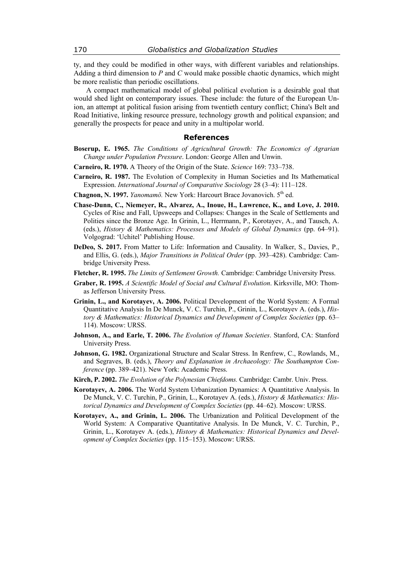ty, and they could be modified in other ways, with different variables and relationships. Adding a third dimension to *Р* and *С* would make possible chaotic dynamics, which might be more realistic than periodic oscillations.

A compact mathematical model of global political evolution is a desirable goal that would shed light on contemporary issues. These include: the future of the European Union, an attempt at political fusion arising from twentieth century conflict; China's Belt and Road Initiative, linking resource pressure, technology growth and political expansion; and generally the prospects for peace and unity in a multipolar world.

## **References**

- **Boserup, E. 1965.** *The Conditions of Agricultural Growth: The Economics of Agrarian Change under Population Pressure*. London: George Allen and Unwin.
- **Carneiro, R. 1970.** A Theory of the Origin of the State. *Science* 169: 733–738.
- **Carneiro, R. 1987.** The Evolution of Complexity in Human Societies and Its Mathematical Expression. *International Journal of Comparative Sociology* 28 (3–4): 111–128.
- **Chagnon, N. 1997.** *Yanomamö.* New York: Harcourt Brace Jovanovich. 5<sup>th</sup> ed.
- **Chase-Dunn, C., Niemeyer, R., Alvarez, A., Inoue, H., Lawrence, K., and Love, J. 2010.** Cycles of Rise and Fall, Upsweeps and Collapses: Changes in the Scale of Settlements and Polities since the Bronze Age. In Grinin, L., Herrmann, P., Korotayev, A., and Tausch, A. (eds.), *History & Mathematics: Processes and Models of Global Dynamics* (pp. 64–91). Volgograd: 'Uchitel' Publishing House.
- **DeDeo, S. 2017.** From Matter to Life: Information and Causality. In Walker, S., Davies, P., and Ellis, G. (eds.), *Major Transitions in Political Order* (pp. 393–428). Cambridge: Cambridge University Press.
- **Fletcher, R. 1995.** *The Limits of Settlement Growth.* Cambridge: Cambridge University Press.
- **Graber, R. 1995.** *A Scientific Model of Social and Cultural Evolution*. Kirksville, MO: Thomas Jefferson University Press.
- **Grinin, L., and Korotayev, A. 2006.** Political Development of the World System: A Formal Quantitative Analysis In De Munck, V. C. Turchin, P., Grinin, L., Korotayev A. (eds.), *History & Mathematics: Historical Dynamics and Development of Complex Societies* (pp. 63– 114). Moscow: URSS.
- **Johnson, A., and Earle, T. 2006.** *The Evolution of Human Societies*. Stanford, CA: Stanford University Press.
- **Johnson, G. 1982.** Organizational Structure and Scalar Stress. In Renfrew, C., Rowlands, M., and Segraves, B. (eds.), *Theory and Explanation in Archaeology: The Southampton Conference* (pp. 389–421). New York: Academic Press.
- **Kirch, P. 2002.** *The Evolution of the Polynesian Chiefdoms.* Cambridge: Cambr. Univ. Press.
- **Korotayev, A. 2006.** The World System Urbanization Dynamics: A Quantitative Analysis. In De Munck, V. C. Turchin, P., Grinin, L., Korotayev A. (eds.), *History & Mathematics: Historical Dynamics and Development of Complex Societies* (pp. 44–62). Moscow: URSS.
- **Korotayev, A., and Grinin, L. 2006.** The Urbanization and Political Development of the World System: A Comparative Quantitative Analysis. In De Munck, V. C. Turchin, P., Grinin, L., Korotayev A. (eds.), *History & Mathematics: Historical Dynamics and Development of Complex Societies* (pp. 115–153). Moscow: URSS.